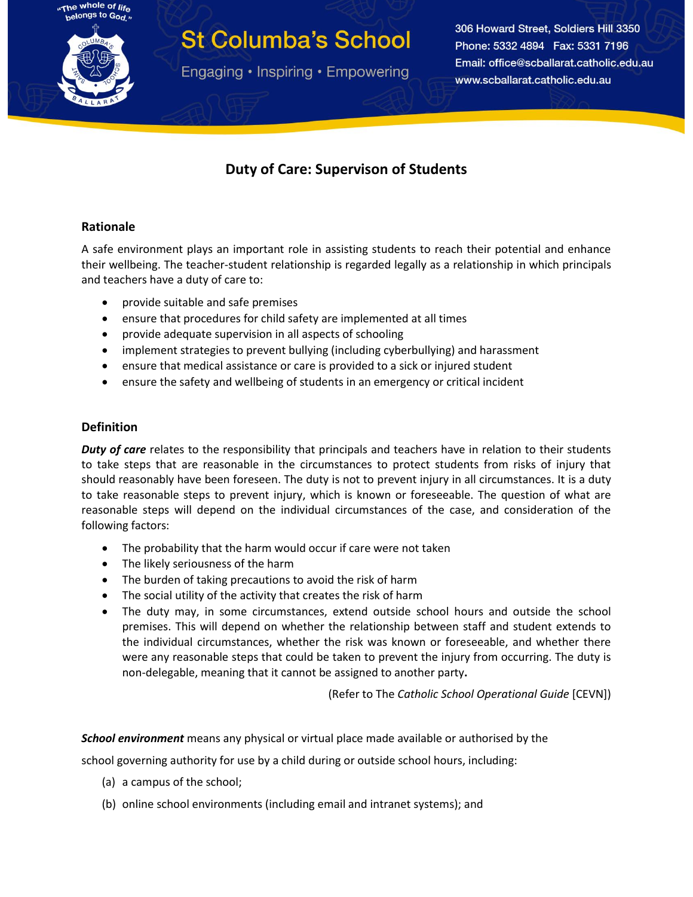

# **St Columba's School**

Engaging • Inspiring • Empowering

306 Howard Street, Soldiers Hill 3350 Phone: 5332 4894 Fax: 5331 7196 Email: office@scballarat.catholic.edu.au www.scballarat.catholic.edu.au

# **Duty of Care: Supervison of Students**

# **Rationale**

A safe environment plays an important role in assisting students to reach their potential and enhance their wellbeing. The teacher-student relationship is regarded legally as a relationship in which principals and teachers have a duty of care to:

- provide suitable and safe premises
- ensure that procedures for child safety are implemented at all times
- provide adequate supervision in all aspects of schooling
- implement strategies to prevent bullying (including cyberbullying) and harassment
- ensure that medical assistance or care is provided to a sick or injured student
- ensure the safety and wellbeing of students in an emergency or critical incident

# **Definition**

*Duty of care* relates to the responsibility that principals and teachers have in relation to their students to take steps that are reasonable in the circumstances to protect students from risks of injury that should reasonably have been foreseen. The duty is not to prevent injury in all circumstances. It is a duty to take reasonable steps to prevent injury, which is known or foreseeable. The question of what are reasonable steps will depend on the individual circumstances of the case, and consideration of the following factors:

- The probability that the harm would occur if care were not taken
- The likely seriousness of the harm
- The burden of taking precautions to avoid the risk of harm
- The social utility of the activity that creates the risk of harm
- The duty may, in some circumstances, extend outside school hours and outside the school premises. This will depend on whether the relationship between staff and student extends to the individual circumstances, whether the risk was known or foreseeable, and whether there were any reasonable steps that could be taken to prevent the injury from occurring. The duty is non-delegable, meaning that it cannot be assigned to another party**.**

(Refer to The *Catholic School Operational Guide* [CEVN])

*School environment* means any physical or virtual place made available or authorised by the

school governing authority for use by a child during or outside school hours, including:

- (a) a campus of the school;
- (b) online school environments (including email and intranet systems); and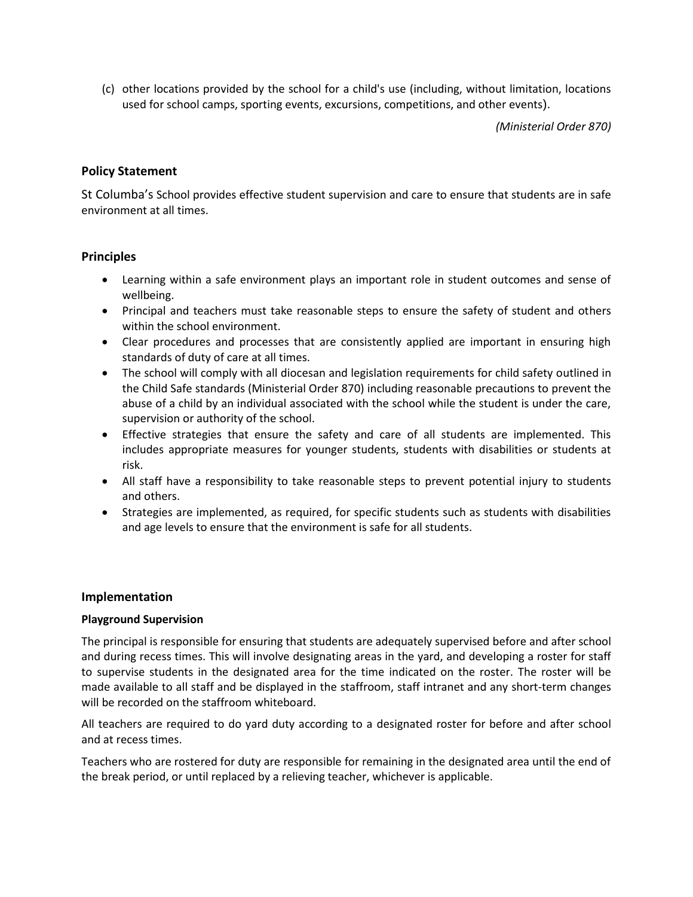(c) other locations provided by the school for a child's use (including, without limitation, locations used for school camps, sporting events, excursions, competitions, and other events).

*(Ministerial Order 870)*

# **Policy Statement**

St Columba's School provides effective student supervision and care to ensure that students are in safe environment at all times.

# **Principles**

- Learning within a safe environment plays an important role in student outcomes and sense of wellbeing.
- Principal and teachers must take reasonable steps to ensure the safety of student and others within the school environment.
- Clear procedures and processes that are consistently applied are important in ensuring high standards of duty of care at all times.
- The school will comply with all diocesan and legislation requirements for child safety outlined in the Child Safe standards (Ministerial Order 870) including reasonable precautions to prevent the abuse of a child by an individual associated with the school while the student is under the care, supervision or authority of the school.
- Effective strategies that ensure the safety and care of all students are implemented. This includes appropriate measures for younger students, students with disabilities or students at risk.
- All staff have a responsibility to take reasonable steps to prevent potential injury to students and others.
- Strategies are implemented, as required, for specific students such as students with disabilities and age levels to ensure that the environment is safe for all students.

#### **Implementation**

#### **Playground Supervision**

The principal is responsible for ensuring that students are adequately supervised before and after school and during recess times. This will involve designating areas in the yard, and developing a roster for staff to supervise students in the designated area for the time indicated on the roster. The roster will be made available to all staff and be displayed in the staffroom, staff intranet and any short-term changes will be recorded on the staffroom whiteboard.

All teachers are required to do yard duty according to a designated roster for before and after school and at recess times.

Teachers who are rostered for duty are responsible for remaining in the designated area until the end of the break period, or until replaced by a relieving teacher, whichever is applicable.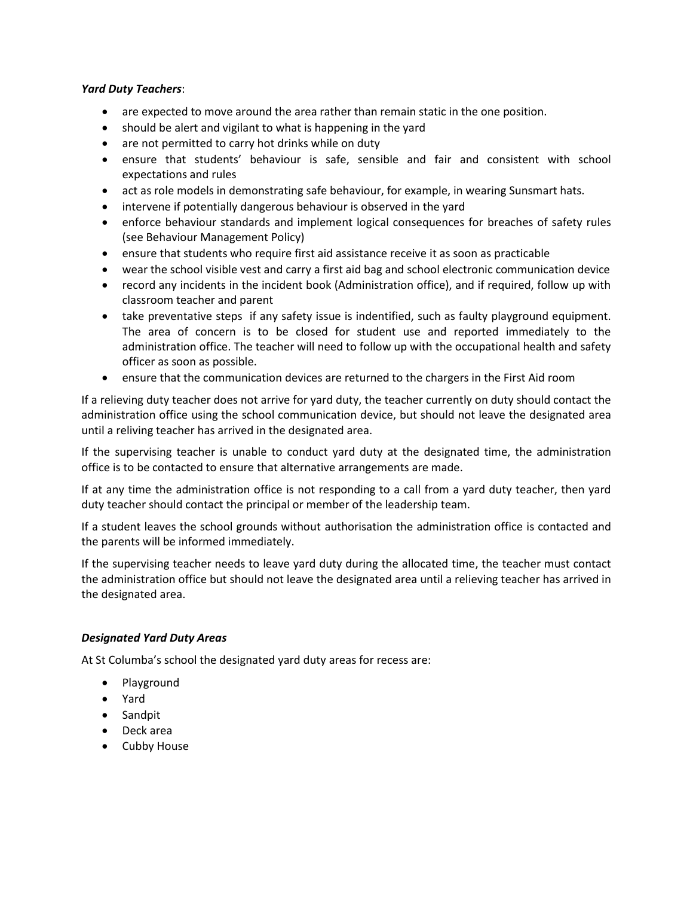#### *Yard Duty Teachers*:

- are expected to move around the area rather than remain static in the one position.
- should be alert and vigilant to what is happening in the yard
- are not permitted to carry hot drinks while on duty
- ensure that students' behaviour is safe, sensible and fair and consistent with school expectations and rules
- act as role models in demonstrating safe behaviour, for example, in wearing Sunsmart hats.
- intervene if potentially dangerous behaviour is observed in the yard
- enforce behaviour standards and implement logical consequences for breaches of safety rules (see Behaviour Management Policy)
- ensure that students who require first aid assistance receive it as soon as practicable
- wear the school visible vest and carry a first aid bag and school electronic communication device
- record any incidents in the incident book (Administration office), and if required, follow up with classroom teacher and parent
- take preventative steps if any safety issue is indentified, such as faulty playground equipment. The area of concern is to be closed for student use and reported immediately to the administration office. The teacher will need to follow up with the occupational health and safety officer as soon as possible.
- ensure that the communication devices are returned to the chargers in the First Aid room

If a relieving duty teacher does not arrive for yard duty, the teacher currently on duty should contact the administration office using the school communication device, but should not leave the designated area until a reliving teacher has arrived in the designated area.

If the supervising teacher is unable to conduct yard duty at the designated time, the administration office is to be contacted to ensure that alternative arrangements are made.

If at any time the administration office is not responding to a call from a yard duty teacher, then yard duty teacher should contact the principal or member of the leadership team.

If a student leaves the school grounds without authorisation the administration office is contacted and the parents will be informed immediately.

If the supervising teacher needs to leave yard duty during the allocated time, the teacher must contact the administration office but should not leave the designated area until a relieving teacher has arrived in the designated area.

#### *Designated Yard Duty Areas*

At St Columba's school the designated yard duty areas for recess are:

- Playground
- Yard
- Sandpit
- Deck area
- Cubby House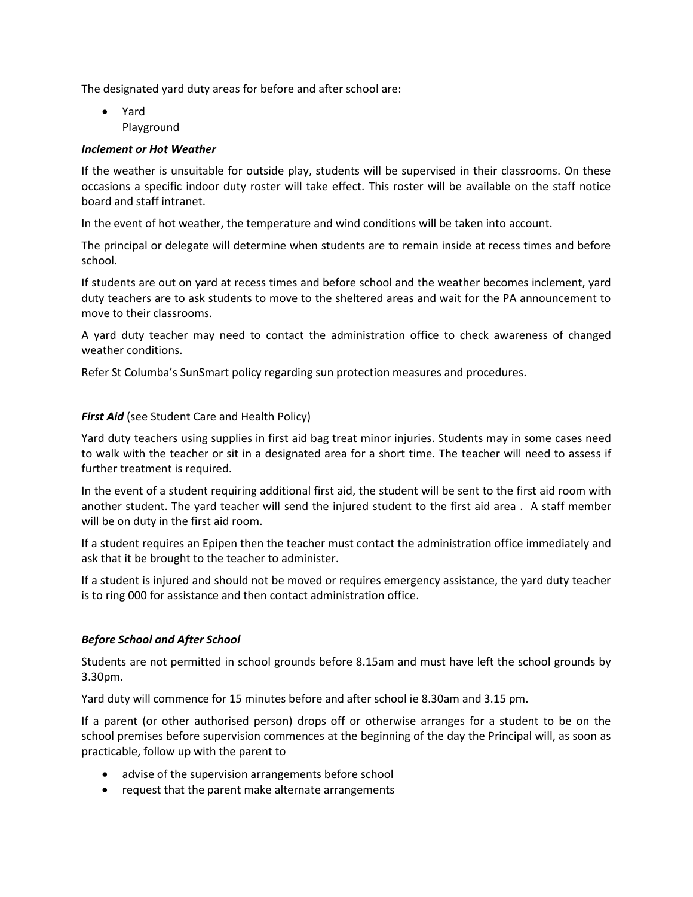The designated yard duty areas for before and after school are:

 Yard Playground

#### *Inclement or Hot Weather*

If the weather is unsuitable for outside play, students will be supervised in their classrooms. On these occasions a specific indoor duty roster will take effect. This roster will be available on the staff notice board and staff intranet.

In the event of hot weather, the temperature and wind conditions will be taken into account.

The principal or delegate will determine when students are to remain inside at recess times and before school.

If students are out on yard at recess times and before school and the weather becomes inclement, yard duty teachers are to ask students to move to the sheltered areas and wait for the PA announcement to move to their classrooms.

A yard duty teacher may need to contact the administration office to check awareness of changed weather conditions.

Refer St Columba's SunSmart policy regarding sun protection measures and procedures.

#### **First Aid** (see Student Care and Health Policy)

Yard duty teachers using supplies in first aid bag treat minor injuries. Students may in some cases need to walk with the teacher or sit in a designated area for a short time. The teacher will need to assess if further treatment is required.

In the event of a student requiring additional first aid, the student will be sent to the first aid room with another student. The yard teacher will send the injured student to the first aid area . A staff member will be on duty in the first aid room.

If a student requires an Epipen then the teacher must contact the administration office immediately and ask that it be brought to the teacher to administer.

If a student is injured and should not be moved or requires emergency assistance, the yard duty teacher is to ring 000 for assistance and then contact administration office.

#### *Before School and After School*

Students are not permitted in school grounds before 8.15am and must have left the school grounds by 3.30pm.

Yard duty will commence for 15 minutes before and after school ie 8.30am and 3.15 pm.

If a parent (or other authorised person) drops off or otherwise arranges for a student to be on the school premises before supervision commences at the beginning of the day the Principal will, as soon as practicable, follow up with the parent to

- advise of the supervision arrangements before school
- request that the parent make alternate arrangements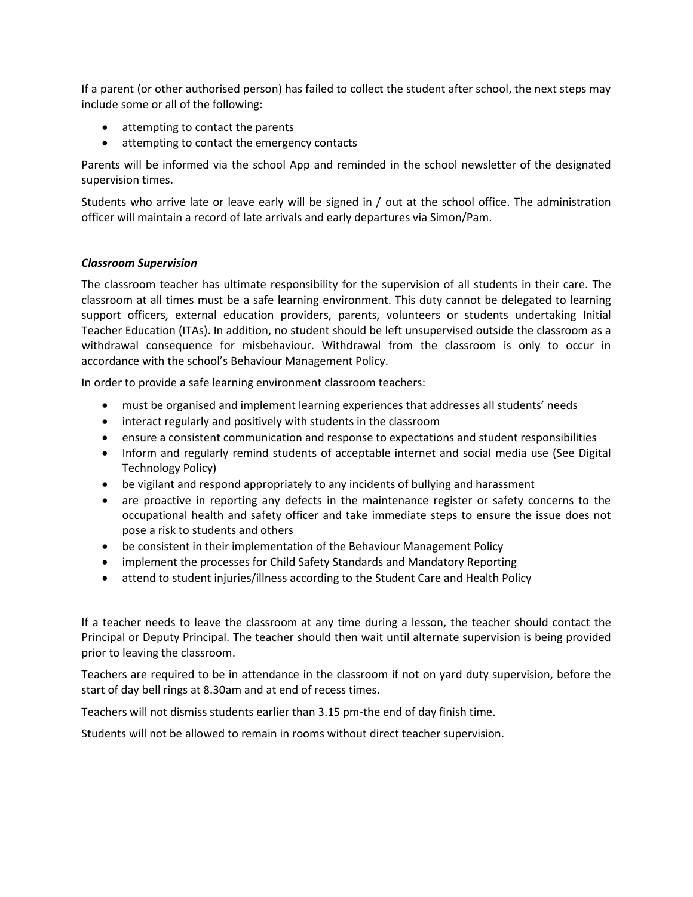If a parent (or other authorised person) has failed to collect the student after school, the next steps may include some or all of the following:

- attempting to contact the parents
- attempting to contact the emergency contacts

Parents will be informed via the school App and reminded in the school newsletter of the designated supervision times.

Students who arrive late or leave early will be signed in / out at the school office. The administration officer will maintain a record of late arrivals and early departures via Simon/Pam.

#### *Classroom Supervision*

The classroom teacher has ultimate responsibility for the supervision of all students in their care. The classroom at all times must be a safe learning environment. This duty cannot be delegated to learning support officers, external education providers, parents, volunteers or students undertaking Initial Teacher Education (ITAs). In addition, no student should be left unsupervised outside the classroom as a withdrawal consequence for misbehaviour. Withdrawal from the classroom is only to occur in accordance with the school's Behaviour Management Policy.

In order to provide a safe learning environment classroom teachers:

- must be organised and implement learning experiences that addresses all students' needs
- interact regularly and positively with students in the classroom
- ensure a consistent communication and response to expectations and student responsibilities
- Inform and regularly remind students of acceptable internet and social media use (See Digital Technology Policy)
- be vigilant and respond appropriately to any incidents of bullying and harassment
- are proactive in reporting any defects in the maintenance register or safety concerns to the occupational health and safety officer and take immediate steps to ensure the issue does not pose a risk to students and others
- be consistent in their implementation of the Behaviour Management Policy
- implement the processes for Child Safety Standards and Mandatory Reporting
- attend to student injuries/illness according to the Student Care and Health Policy

If a teacher needs to leave the classroom at any time during a lesson, the teacher should contact the Principal or Deputy Principal. The teacher should then wait until alternate supervision is being provided prior to leaving the classroom.

Teachers are required to be in attendance in the classroom if not on yard duty supervision, before the start of day bell rings at 8.30am and at end of recess times.

Teachers will not dismiss students earlier than 3.15 pm-the end of day finish time.

Students will not be allowed to remain in rooms without direct teacher supervision.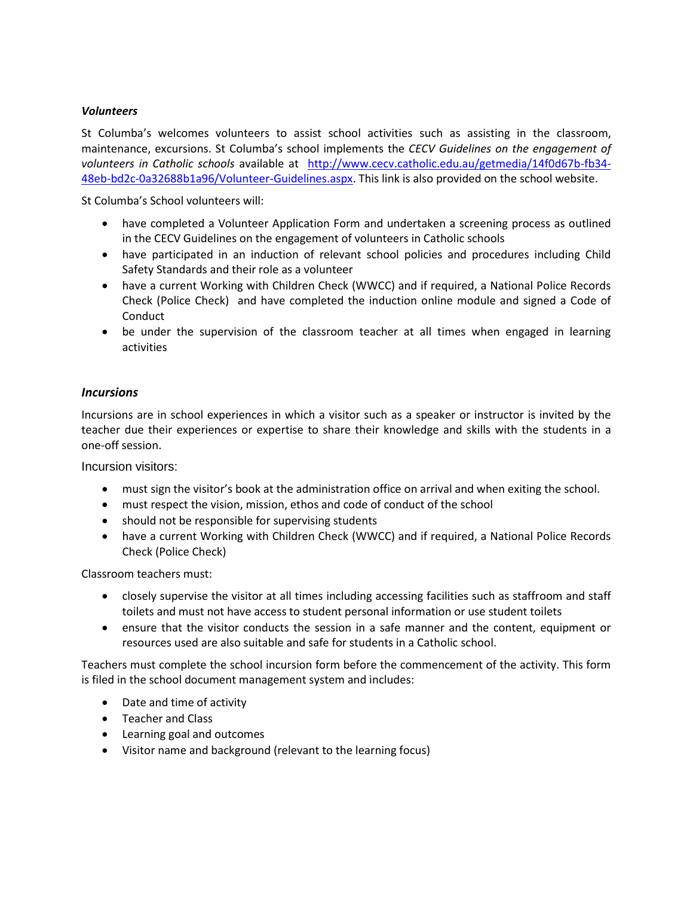#### *Volunteers*

St Columba's welcomes volunteers to assist school activities such as assisting in the classroom, maintenance, excursions. St Columba's school implements the *CECV Guidelines on the engagement of volunteers in Catholic schools* available at [http://www.cecv.catholic.edu.au/getmedia/14f0d67b-fb34-](http://www.cecv.catholic.edu.au/getmedia/14f0d67b-fb34-48eb-bd2c-0a32688b1a96/Volunteer-Guidelines.aspx) [48eb-bd2c-0a32688b1a96/Volunteer-Guidelines.aspx.](http://www.cecv.catholic.edu.au/getmedia/14f0d67b-fb34-48eb-bd2c-0a32688b1a96/Volunteer-Guidelines.aspx) This link is also provided on the school website.

St Columba's School volunteers will:

- have completed a Volunteer Application Form and undertaken a screening process as outlined in the CECV Guidelines on the engagement of volunteers in Catholic schools
- have participated in an induction of relevant school policies and procedures including Child Safety Standards and their role as a volunteer
- have a current Working with Children Check (WWCC) and if required, a National Police Records Check (Police Check) and have completed the induction online module and signed a Code of **Conduct**
- be under the supervision of the classroom teacher at all times when engaged in learning activities

#### *Incursions*

Incursions are in school experiences in which a visitor such as a speaker or instructor is invited by the teacher due their experiences or expertise to share their knowledge and skills with the students in a one-off session.

Incursion visitors:

- must sign the visitor's book at the administration office on arrival and when exiting the school.
- must respect the vision, mission, ethos and code of conduct of the school
- should not be responsible for supervising students
- have a current Working with Children Check (WWCC) and if required, a National Police Records Check (Police Check)

Classroom teachers must:

- closely supervise the visitor at all times including accessing facilities such as staffroom and staff toilets and must not have access to student personal information or use student toilets
- ensure that the visitor conducts the session in a safe manner and the content, equipment or resources used are also suitable and safe for students in a Catholic school.

Teachers must complete the school incursion form before the commencement of the activity. This form is filed in the school document management system and includes:

- Date and time of activity
- Teacher and Class
- Learning goal and outcomes
- Visitor name and background (relevant to the learning focus)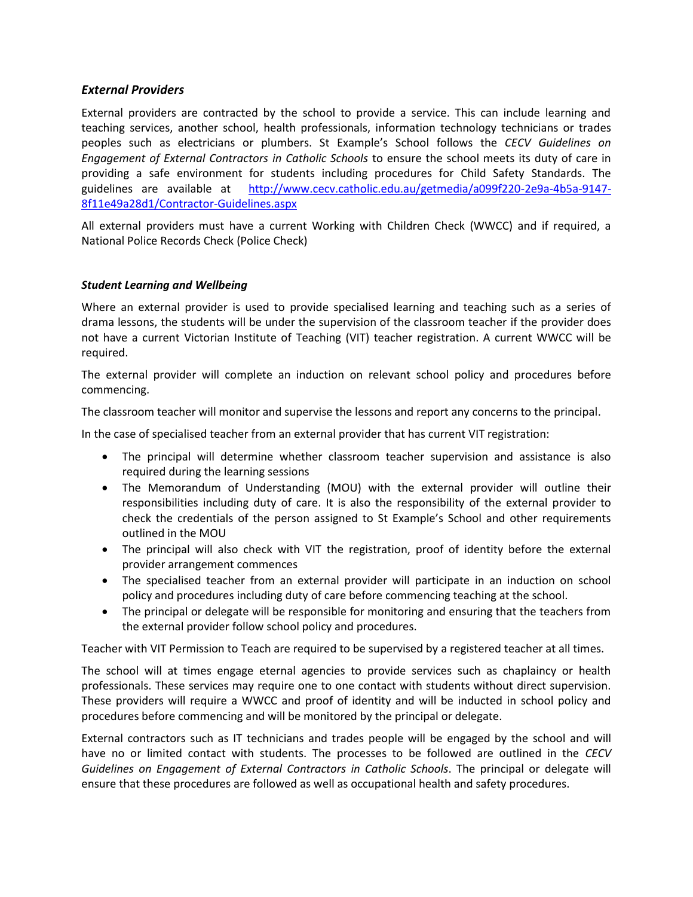## *External Providers*

External providers are contracted by the school to provide a service. This can include learning and teaching services, another school, health professionals, information technology technicians or trades peoples such as electricians or plumbers. St Example's School follows the *CECV Guidelines on Engagement of External Contractors in Catholic Schools* to ensure the school meets its duty of care in providing a safe environment for students including procedures for Child Safety Standards. The guidelines are available at [http://www.cecv.catholic.edu.au/getmedia/a099f220-2e9a-4b5a-9147-](http://www.cecv.catholic.edu.au/getmedia/a099f220-2e9a-4b5a-9147-8f11e49a28d1/Contractor-Guidelines.aspx) [8f11e49a28d1/Contractor-Guidelines.aspx](http://www.cecv.catholic.edu.au/getmedia/a099f220-2e9a-4b5a-9147-8f11e49a28d1/Contractor-Guidelines.aspx)

All external providers must have a current Working with Children Check (WWCC) and if required, a National Police Records Check (Police Check)

#### *Student Learning and Wellbeing*

Where an external provider is used to provide specialised learning and teaching such as a series of drama lessons, the students will be under the supervision of the classroom teacher if the provider does not have a current Victorian Institute of Teaching (VIT) teacher registration. A current WWCC will be required.

The external provider will complete an induction on relevant school policy and procedures before commencing.

The classroom teacher will monitor and supervise the lessons and report any concerns to the principal.

In the case of specialised teacher from an external provider that has current VIT registration:

- The principal will determine whether classroom teacher supervision and assistance is also required during the learning sessions
- The Memorandum of Understanding (MOU) with the external provider will outline their responsibilities including duty of care. It is also the responsibility of the external provider to check the credentials of the person assigned to St Example's School and other requirements outlined in the MOU
- The principal will also check with VIT the registration, proof of identity before the external provider arrangement commences
- The specialised teacher from an external provider will participate in an induction on school policy and procedures including duty of care before commencing teaching at the school.
- The principal or delegate will be responsible for monitoring and ensuring that the teachers from the external provider follow school policy and procedures.

Teacher with VIT Permission to Teach are required to be supervised by a registered teacher at all times.

The school will at times engage eternal agencies to provide services such as chaplaincy or health professionals. These services may require one to one contact with students without direct supervision. These providers will require a WWCC and proof of identity and will be inducted in school policy and procedures before commencing and will be monitored by the principal or delegate.

External contractors such as IT technicians and trades people will be engaged by the school and will have no or limited contact with students. The processes to be followed are outlined in the *CECV Guidelines on Engagement of External Contractors in Catholic Schools*. The principal or delegate will ensure that these procedures are followed as well as occupational health and safety procedures.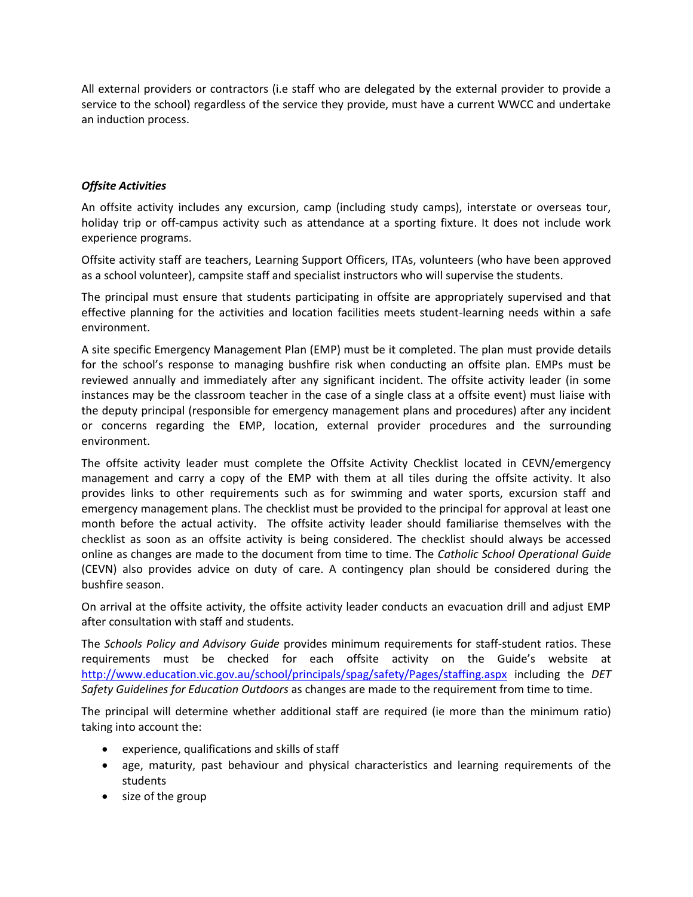All external providers or contractors (i.e staff who are delegated by the external provider to provide a service to the school) regardless of the service they provide, must have a current WWCC and undertake an induction process.

#### *Offsite Activities*

An offsite activity includes any excursion, camp (including study camps), interstate or overseas tour, holiday trip or off-campus activity such as attendance at a sporting fixture. It does not include work experience programs.

Offsite activity staff are teachers, Learning Support Officers, ITAs, volunteers (who have been approved as a school volunteer), campsite staff and specialist instructors who will supervise the students.

The principal must ensure that students participating in offsite are appropriately supervised and that effective planning for the activities and location facilities meets student-learning needs within a safe environment.

A site specific Emergency Management Plan (EMP) must be it completed. The plan must provide details for the school's response to managing bushfire risk when conducting an offsite plan. EMPs must be reviewed annually and immediately after any significant incident. The offsite activity leader (in some instances may be the classroom teacher in the case of a single class at a offsite event) must liaise with the deputy principal (responsible for emergency management plans and procedures) after any incident or concerns regarding the EMP, location, external provider procedures and the surrounding environment.

The offsite activity leader must complete the Offsite Activity Checklist located in CEVN/emergency management and carry a copy of the EMP with them at all tiles during the offsite activity. It also provides links to other requirements such as for swimming and water sports, excursion staff and emergency management plans. The checklist must be provided to the principal for approval at least one month before the actual activity. The offsite activity leader should familiarise themselves with the checklist as soon as an offsite activity is being considered. The checklist should always be accessed online as changes are made to the document from time to time. The *Catholic School Operational Guide* (CEVN) also provides advice on duty of care. A contingency plan should be considered during the bushfire season.

On arrival at the offsite activity, the offsite activity leader conducts an evacuation drill and adjust EMP after consultation with staff and students.

The *Schools Policy and Advisory Guide* provides minimum requirements for staff-student ratios. These requirements must be checked for each offsite activity on the Guide's website at <http://www.education.vic.gov.au/school/principals/spag/safety/Pages/staffing.aspx> including the *DET Safety Guidelines for Education Outdoors* as changes are made to the requirement from time to time.

The principal will determine whether additional staff are required (ie more than the minimum ratio) taking into account the:

- experience, qualifications and skills of staff
- age, maturity, past behaviour and physical characteristics and learning requirements of the students
- size of the group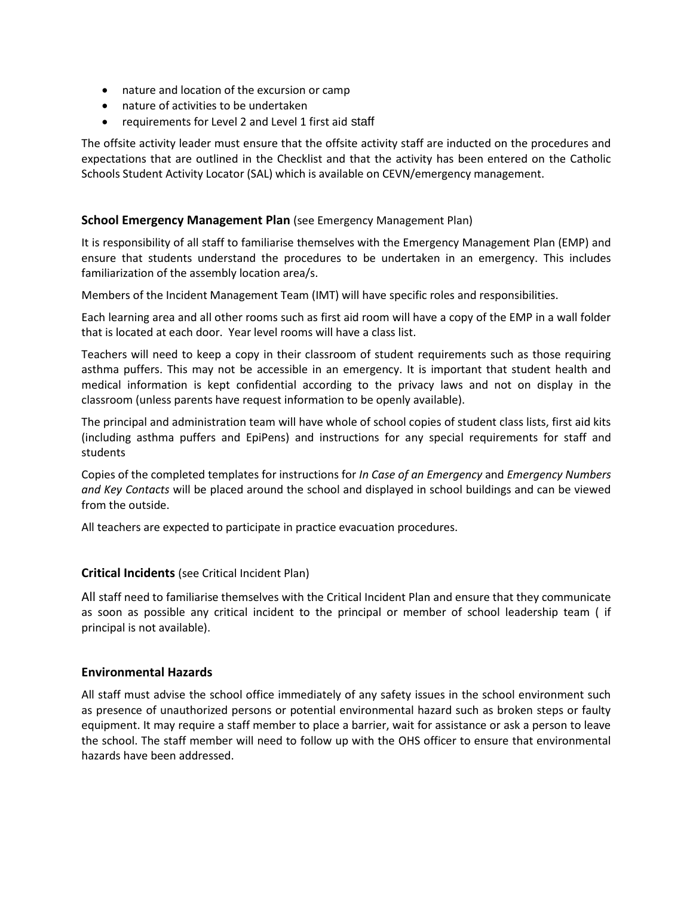- nature and location of the excursion or camp
- nature of activities to be undertaken
- requirements for Level 2 and Level 1 first aid staff

The offsite activity leader must ensure that the offsite activity staff are inducted on the procedures and expectations that are outlined in the Checklist and that the activity has been entered on the Catholic Schools Student Activity Locator (SAL) which is available on CEVN/emergency management.

#### **School Emergency Management Plan** (see Emergency Management Plan)

It is responsibility of all staff to familiarise themselves with the Emergency Management Plan (EMP) and ensure that students understand the procedures to be undertaken in an emergency. This includes familiarization of the assembly location area/s.

Members of the Incident Management Team (IMT) will have specific roles and responsibilities.

Each learning area and all other rooms such as first aid room will have a copy of the EMP in a wall folder that is located at each door. Year level rooms will have a class list.

Teachers will need to keep a copy in their classroom of student requirements such as those requiring asthma puffers. This may not be accessible in an emergency. It is important that student health and medical information is kept confidential according to the privacy laws and not on display in the classroom (unless parents have request information to be openly available).

The principal and administration team will have whole of school copies of student class lists, first aid kits (including asthma puffers and EpiPens) and instructions for any special requirements for staff and students

Copies of the completed templates for instructions for *In Case of an Emergency* and *Emergency Numbers and Key Contacts* will be placed around the school and displayed in school buildings and can be viewed from the outside.

All teachers are expected to participate in practice evacuation procedures.

#### **Critical Incidents** (see Critical Incident Plan)

All staff need to familiarise themselves with the Critical Incident Plan and ensure that they communicate as soon as possible any critical incident to the principal or member of school leadership team ( if principal is not available).

#### **Environmental Hazards**

All staff must advise the school office immediately of any safety issues in the school environment such as presence of unauthorized persons or potential environmental hazard such as broken steps or faulty equipment. It may require a staff member to place a barrier, wait for assistance or ask a person to leave the school. The staff member will need to follow up with the OHS officer to ensure that environmental hazards have been addressed.